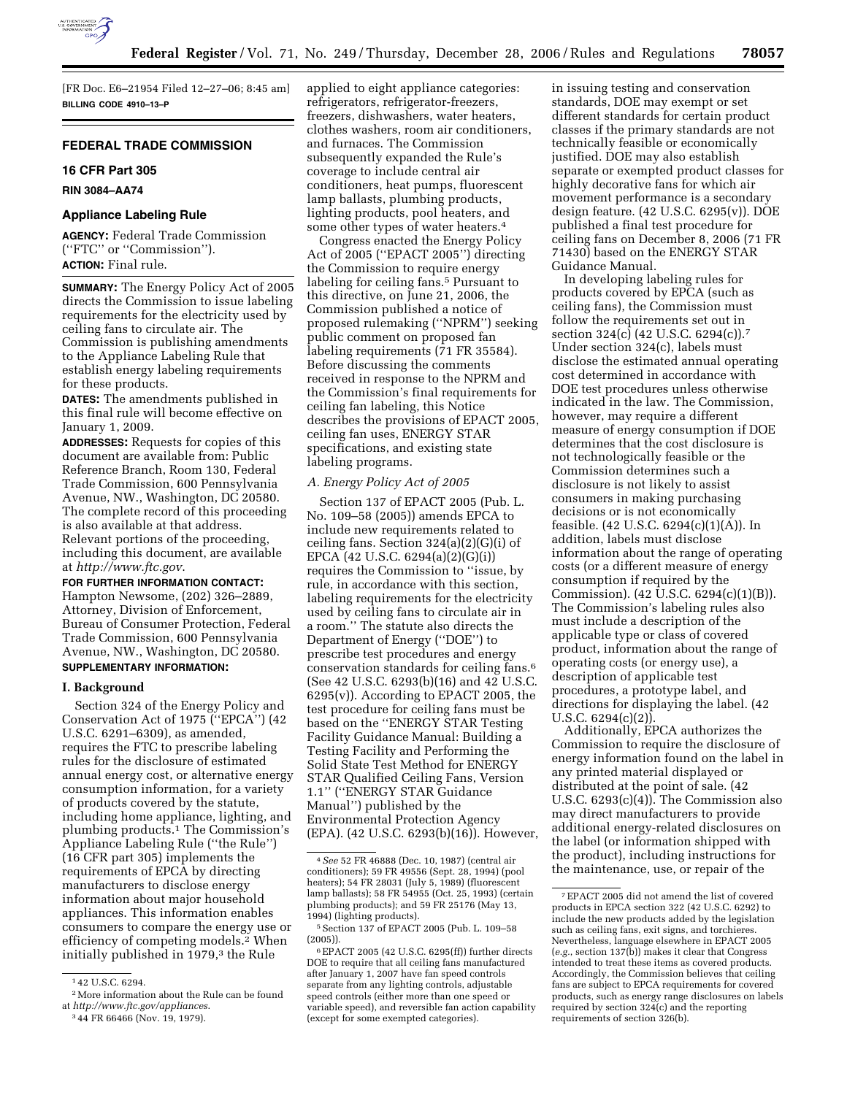

[FR Doc. E6–21954 Filed 12–27–06; 8:45 am] **BILLING CODE 4910–13–P** 

# **FEDERAL TRADE COMMISSION**

### **16 CFR Part 305**

## **RIN 3084–AA74**

### **Appliance Labeling Rule**

**AGENCY:** Federal Trade Commission (''FTC'' or ''Commission''). **ACTION:** Final rule.

**SUMMARY:** The Energy Policy Act of 2005 directs the Commission to issue labeling requirements for the electricity used by ceiling fans to circulate air. The Commission is publishing amendments to the Appliance Labeling Rule that establish energy labeling requirements for these products.

**DATES:** The amendments published in this final rule will become effective on January 1, 2009.

**ADDRESSES:** Requests for copies of this document are available from: Public Reference Branch, Room 130, Federal Trade Commission, 600 Pennsylvania Avenue, NW., Washington, DC 20580. The complete record of this proceeding is also available at that address. Relevant portions of the proceeding, including this document, are available at *http://www.ftc.gov*.

**FOR FURTHER INFORMATION CONTACT:**  Hampton Newsome, (202) 326–2889, Attorney, Division of Enforcement, Bureau of Consumer Protection, Federal Trade Commission, 600 Pennsylvania Avenue, NW., Washington, DC 20580. **SUPPLEMENTARY INFORMATION:** 

### **I. Background**

Section 324 of the Energy Policy and Conservation Act of 1975 (''EPCA'') (42 U.S.C. 6291–6309), as amended, requires the FTC to prescribe labeling rules for the disclosure of estimated annual energy cost, or alternative energy consumption information, for a variety of products covered by the statute, including home appliance, lighting, and plumbing products.1 The Commission's Appliance Labeling Rule (''the Rule'') (16 CFR part 305) implements the requirements of EPCA by directing manufacturers to disclose energy information about major household appliances. This information enables consumers to compare the energy use or efficiency of competing models.2 When initially published in 1979,<sup>3</sup> the Rule

applied to eight appliance categories: refrigerators, refrigerator-freezers, freezers, dishwashers, water heaters, clothes washers, room air conditioners, and furnaces. The Commission subsequently expanded the Rule's coverage to include central air conditioners, heat pumps, fluorescent lamp ballasts, plumbing products, lighting products, pool heaters, and some other types of water heaters.4

Congress enacted the Energy Policy Act of 2005 (''EPACT 2005'') directing the Commission to require energy labeling for ceiling fans.5 Pursuant to this directive, on June 21, 2006, the Commission published a notice of proposed rulemaking (''NPRM'') seeking public comment on proposed fan labeling requirements (71 FR 35584). Before discussing the comments received in response to the NPRM and the Commission's final requirements for ceiling fan labeling, this Notice describes the provisions of EPACT 2005, ceiling fan uses, ENERGY STAR specifications, and existing state labeling programs.

### *A. Energy Policy Act of 2005*

Section 137 of EPACT 2005 (Pub. L. No. 109–58 (2005)) amends EPCA to include new requirements related to ceiling fans. Section 324(a)(2)(G)(i) of EPCA (42 U.S.C. 6294(a)(2)(G)(i)) requires the Commission to ''issue, by rule, in accordance with this section, labeling requirements for the electricity used by ceiling fans to circulate air in a room.'' The statute also directs the Department of Energy (''DOE'') to prescribe test procedures and energy conservation standards for ceiling fans.6 (See 42 U.S.C. 6293(b)(16) and 42 U.S.C. 6295(v)). According to EPACT 2005, the test procedure for ceiling fans must be based on the ''ENERGY STAR Testing Facility Guidance Manual: Building a Testing Facility and Performing the Solid State Test Method for ENERGY STAR Qualified Ceiling Fans, Version 1.1'' (''ENERGY STAR Guidance Manual'') published by the Environmental Protection Agency (EPA). (42 U.S.C. 6293(b)(16)). However, in issuing testing and conservation standards, DOE may exempt or set different standards for certain product classes if the primary standards are not technically feasible or economically justified. DOE may also establish separate or exempted product classes for highly decorative fans for which air movement performance is a secondary design feature. (42 U.S.C. 6295(v)). DOE published a final test procedure for ceiling fans on December 8, 2006 (71 FR 71430) based on the ENERGY STAR Guidance Manual.

In developing labeling rules for products covered by EPCA (such as ceiling fans), the Commission must follow the requirements set out in section 324(c) (42 U.S.C. 6294(c)).7 Under section 324(c), labels must disclose the estimated annual operating cost determined in accordance with DOE test procedures unless otherwise indicated in the law. The Commission, however, may require a different measure of energy consumption if DOE determines that the cost disclosure is not technologically feasible or the Commission determines such a disclosure is not likely to assist consumers in making purchasing decisions or is not economically feasible. (42 U.S.C. 6294(c)(1)(A)). In addition, labels must disclose information about the range of operating costs (or a different measure of energy consumption if required by the Commission). (42 U.S.C. 6294(c)(1)(B)). The Commission's labeling rules also must include a description of the applicable type or class of covered product, information about the range of operating costs (or energy use), a description of applicable test procedures, a prototype label, and directions for displaying the label. (42 U.S.C. 6294(c)(2)).

Additionally, EPCA authorizes the Commission to require the disclosure of energy information found on the label in any printed material displayed or distributed at the point of sale. (42 U.S.C. 6293(c)(4)). The Commission also may direct manufacturers to provide additional energy-related disclosures on the label (or information shipped with the product), including instructions for the maintenance, use, or repair of the

<sup>1</sup> 42 U.S.C. 6294.

<sup>2</sup>More information about the Rule can be found at *http://www.ftc.gov/appliances*.

<sup>3</sup> 44 FR 66466 (Nov. 19, 1979).

<sup>4</sup>*See* 52 FR 46888 (Dec. 10, 1987) (central air conditioners); 59 FR 49556 (Sept. 28, 1994) (pool heaters); 54 FR 28031 (July 5, 1989) (fluorescent lamp ballasts); 58 FR 54955 (Oct. 25, 1993) (certain plumbing products); and 59 FR 25176 (May 13, 1994) (lighting products).

<sup>5</sup>Section 137 of EPACT 2005 (Pub. L. 109–58 (2005)).

<sup>6</sup>EPACT 2005 (42 U.S.C. 6295(ff)) further directs DOE to require that all ceiling fans manufactured after January 1, 2007 have fan speed controls separate from any lighting controls, adjustable speed controls (either more than one speed or variable speed), and reversible fan action capability (except for some exempted categories).

<sup>7</sup>EPACT 2005 did not amend the list of covered products in EPCA section 322 (42 U.S.C. 6292) to include the new products added by the legislation such as ceiling fans, exit signs, and torchieres. Nevertheless, language elsewhere in EPACT 2005 (*e.g.*, section 137(b)) makes it clear that Congress intended to treat these items as covered products. Accordingly, the Commission believes that ceiling fans are subject to EPCA requirements for covered products, such as energy range disclosures on labels required by section 324(c) and the reporting requirements of section 326(b).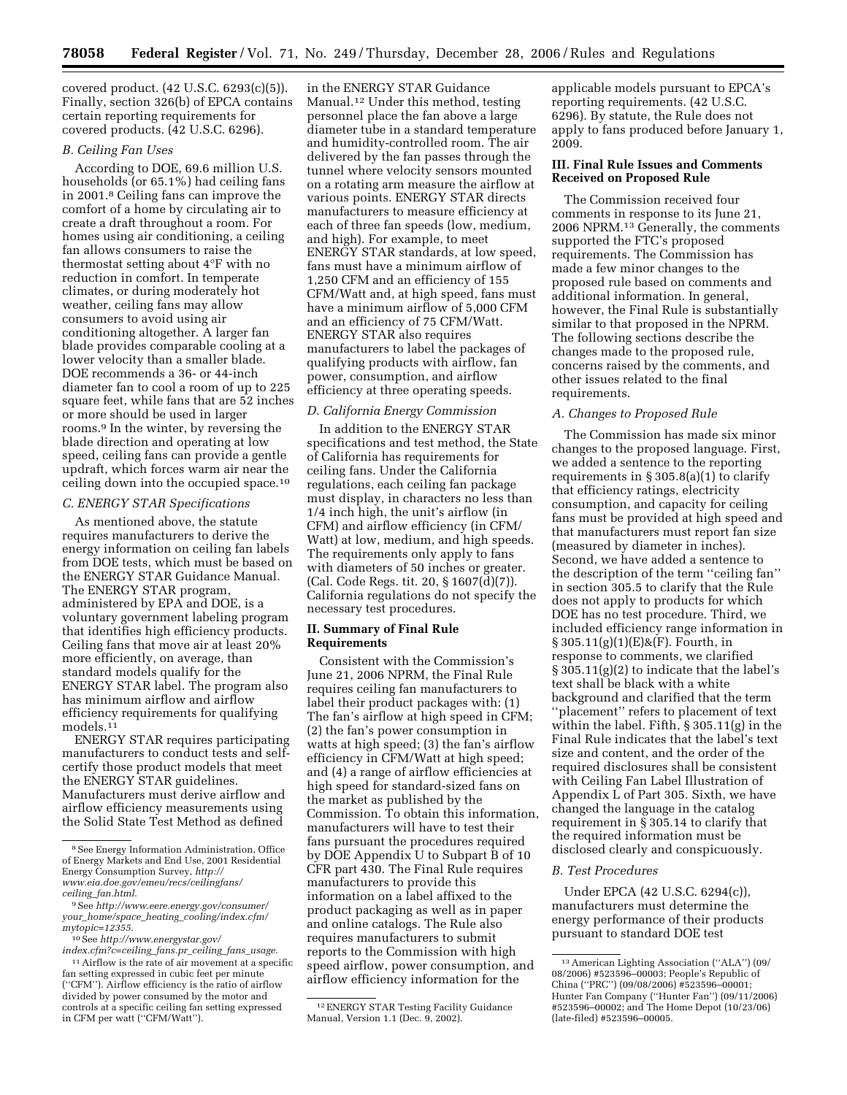covered product. (42 U.S.C. 6293(c)(5)). Finally, section 326(b) of EPCA contains certain reporting requirements for covered products. (42 U.S.C. 6296).

### *B. Ceiling Fan Uses*

According to DOE, 69.6 million U.S. households (or 65.1%) had ceiling fans in 2001.8 Ceiling fans can improve the comfort of a home by circulating air to create a draft throughout a room. For homes using air conditioning, a ceiling fan allows consumers to raise the thermostat setting about 4°F with no reduction in comfort. In temperate climates, or during moderately hot weather, ceiling fans may allow consumers to avoid using air conditioning altogether. A larger fan blade provides comparable cooling at a lower velocity than a smaller blade. DOE recommends a 36- or 44-inch diameter fan to cool a room of up to 225 square feet, while fans that are 52 inches or more should be used in larger rooms.9 In the winter, by reversing the blade direction and operating at low speed, ceiling fans can provide a gentle updraft, which forces warm air near the ceiling down into the occupied space.10

## *C. ENERGY STAR Specifications*

As mentioned above, the statute requires manufacturers to derive the energy information on ceiling fan labels from DOE tests, which must be based on the ENERGY STAR Guidance Manual. The ENERGY STAR program, administered by EPA and DOE, is a voluntary government labeling program that identifies high efficiency products. Ceiling fans that move air at least 20% more efficiently, on average, than standard models qualify for the ENERGY STAR label. The program also has minimum airflow and airflow efficiency requirements for qualifying models.11

ENERGY STAR requires participating manufacturers to conduct tests and selfcertify those product models that meet the ENERGY STAR guidelines. Manufacturers must derive airflow and airflow efficiency measurements using the Solid State Test Method as defined

in the ENERGY STAR Guidance Manual.12 Under this method, testing personnel place the fan above a large diameter tube in a standard temperature and humidity-controlled room. The air delivered by the fan passes through the tunnel where velocity sensors mounted on a rotating arm measure the airflow at various points. ENERGY STAR directs manufacturers to measure efficiency at each of three fan speeds (low, medium, and high). For example, to meet ENERGY STAR standards, at low speed, fans must have a minimum airflow of 1,250 CFM and an efficiency of 155 CFM/Watt and, at high speed, fans must have a minimum airflow of 5,000 CFM and an efficiency of 75 CFM/Watt. ENERGY STAR also requires manufacturers to label the packages of qualifying products with airflow, fan power, consumption, and airflow efficiency at three operating speeds.

#### *D. California Energy Commission*

In addition to the ENERGY STAR specifications and test method, the State of California has requirements for ceiling fans. Under the California regulations, each ceiling fan package must display, in characters no less than 1/4 inch high, the unit's airflow (in CFM) and airflow efficiency (in CFM/ Watt) at low, medium, and high speeds. The requirements only apply to fans with diameters of 50 inches or greater. (Cal. Code Regs. tit. 20, § 1607(d)(7)). California regulations do not specify the necessary test procedures.

## **II. Summary of Final Rule Requirements**

Consistent with the Commission's June 21, 2006 NPRM, the Final Rule requires ceiling fan manufacturers to label their product packages with: (1) The fan's airflow at high speed in CFM; (2) the fan's power consumption in watts at high speed; (3) the fan's airflow efficiency in CFM/Watt at high speed; and (4) a range of airflow efficiencies at high speed for standard-sized fans on the market as published by the Commission. To obtain this information, manufacturers will have to test their fans pursuant the procedures required by DOE Appendix U to Subpart B of 10 CFR part 430. The Final Rule requires manufacturers to provide this information on a label affixed to the product packaging as well as in paper and online catalogs. The Rule also requires manufacturers to submit reports to the Commission with high speed airflow, power consumption, and airflow efficiency information for the

applicable models pursuant to EPCA's reporting requirements. (42 U.S.C. 6296). By statute, the Rule does not apply to fans produced before January 1, 2009.

## **III. Final Rule Issues and Comments Received on Proposed Rule**

The Commission received four comments in response to its June 21, 2006 NPRM.13 Generally, the comments supported the FTC's proposed requirements. The Commission has made a few minor changes to the proposed rule based on comments and additional information. In general, however, the Final Rule is substantially similar to that proposed in the NPRM. The following sections describe the changes made to the proposed rule, concerns raised by the comments, and other issues related to the final requirements.

### *A. Changes to Proposed Rule*

The Commission has made six minor changes to the proposed language. First, we added a sentence to the reporting requirements in § 305.8(a)(1) to clarify that efficiency ratings, electricity consumption, and capacity for ceiling fans must be provided at high speed and that manufacturers must report fan size (measured by diameter in inches). Second, we have added a sentence to the description of the term ''ceiling fan'' in section 305.5 to clarify that the Rule does not apply to products for which DOE has no test procedure. Third, we included efficiency range information in § 305.11(g)(1)(E)&(F). Fourth, in response to comments, we clarified § 305.11(g)(2) to indicate that the label's text shall be black with a white background and clarified that the term ''placement'' refers to placement of text within the label. Fifth, § 305.11(g) in the Final Rule indicates that the label's text size and content, and the order of the required disclosures shall be consistent with Ceiling Fan Label Illustration of Appendix L of Part 305. Sixth, we have changed the language in the catalog requirement in § 305.14 to clarify that the required information must be disclosed clearly and conspicuously.

#### *B. Test Procedures*

Under EPCA (42 U.S.C. 6294(c)), manufacturers must determine the energy performance of their products pursuant to standard DOE test

<sup>8</sup>See Energy Information Administration, Office of Energy Markets and End Use, 2001 Residential Energy Consumption Survey, *http:// www.eia.doe.gov/emeu/recs/ceilingfans/ ceiling*\_*fan.html*.

<sup>9</sup>See *http://www.eere.energy.gov/consumer/ your*\_*home/space*\_*heating*\_*cooling/index.cfm/ mytopic=12355*.

<sup>10</sup>See *http://www.energystar.gov/* 

*index.cfm?c=ceiling*\_*fans.pr*\_*ceiling*\_*fans*\_*usage*. 11Airflow is the rate of air movement at a specific fan setting expressed in cubic feet per minute (''CFM''). Airflow efficiency is the ratio of airflow divided by power consumed by the motor and controls at a specific ceiling fan setting expressed in CFM per watt (''CFM/Watt'').

<sup>12</sup>ENERGY STAR Testing Facility Guidance Manual, Version 1.1 (Dec. 9, 2002).

<sup>13</sup>American Lighting Association (''ALA'') (09/ 08/2006) #523596–00003; People's Republic of China (''PRC'') (09/08/2006) #523596–00001; Hunter Fan Company (''Hunter Fan'') (09/11/2006) #523596–00002; and The Home Depot (10/23/06) (late-filed) #523596–00005.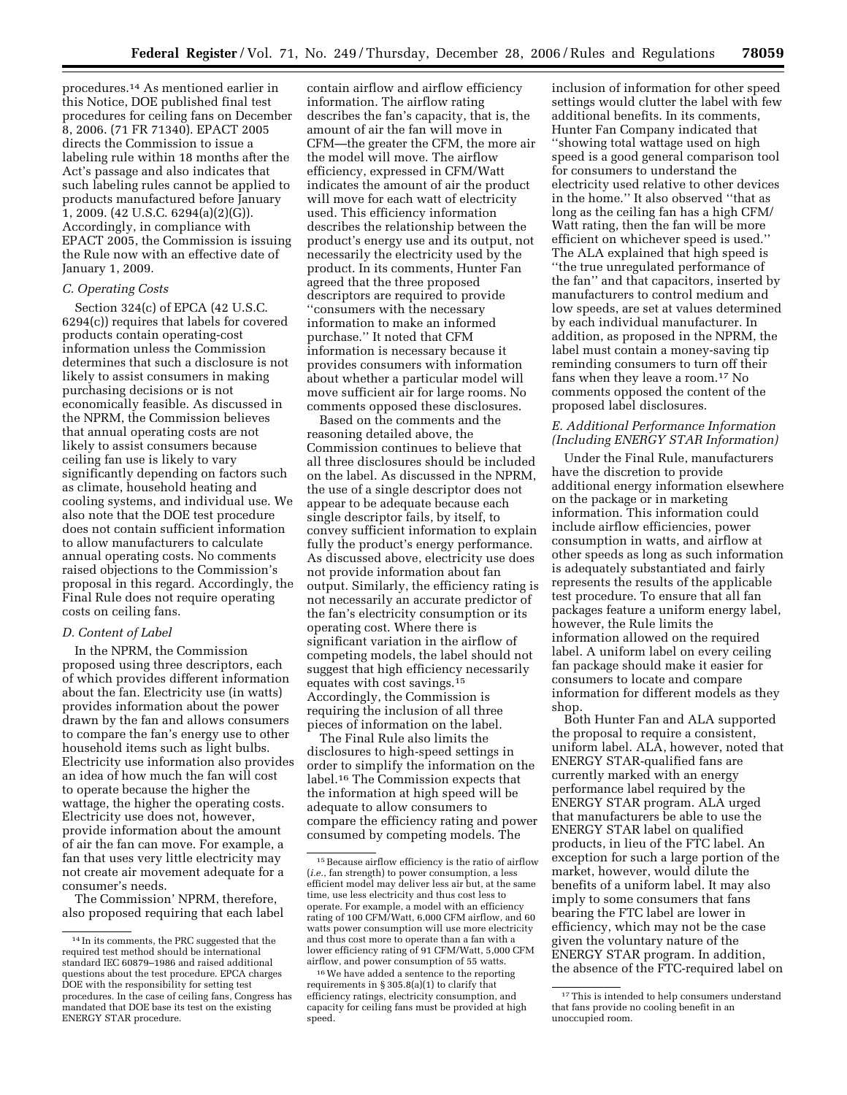procedures.14 As mentioned earlier in this Notice, DOE published final test procedures for ceiling fans on December 8, 2006. (71 FR 71340). EPACT 2005 directs the Commission to issue a labeling rule within 18 months after the Act's passage and also indicates that such labeling rules cannot be applied to products manufactured before January 1, 2009. (42 U.S.C. 6294(a)(2)(G)). Accordingly, in compliance with EPACT 2005, the Commission is issuing the Rule now with an effective date of January 1, 2009.

## *C. Operating Costs*

Section 324(c) of EPCA (42 U.S.C. 6294(c)) requires that labels for covered products contain operating-cost information unless the Commission determines that such a disclosure is not likely to assist consumers in making purchasing decisions or is not economically feasible. As discussed in the NPRM, the Commission believes that annual operating costs are not likely to assist consumers because ceiling fan use is likely to vary significantly depending on factors such as climate, household heating and cooling systems, and individual use. We also note that the DOE test procedure does not contain sufficient information to allow manufacturers to calculate annual operating costs. No comments raised objections to the Commission's proposal in this regard. Accordingly, the Final Rule does not require operating costs on ceiling fans.

## *D. Content of Label*

In the NPRM, the Commission proposed using three descriptors, each of which provides different information about the fan. Electricity use (in watts) provides information about the power drawn by the fan and allows consumers to compare the fan's energy use to other household items such as light bulbs. Electricity use information also provides an idea of how much the fan will cost to operate because the higher the wattage, the higher the operating costs. Electricity use does not, however, provide information about the amount of air the fan can move. For example, a fan that uses very little electricity may not create air movement adequate for a consumer's needs.

The Commission' NPRM, therefore, also proposed requiring that each label contain airflow and airflow efficiency information. The airflow rating describes the fan's capacity, that is, the amount of air the fan will move in CFM—the greater the CFM, the more air the model will move. The airflow efficiency, expressed in CFM/Watt indicates the amount of air the product will move for each watt of electricity used. This efficiency information describes the relationship between the product's energy use and its output, not necessarily the electricity used by the product. In its comments, Hunter Fan agreed that the three proposed descriptors are required to provide ''consumers with the necessary information to make an informed purchase.'' It noted that CFM information is necessary because it provides consumers with information about whether a particular model will move sufficient air for large rooms. No comments opposed these disclosures.

Based on the comments and the reasoning detailed above, the Commission continues to believe that all three disclosures should be included on the label. As discussed in the NPRM, the use of a single descriptor does not appear to be adequate because each single descriptor fails, by itself, to convey sufficient information to explain fully the product's energy performance. As discussed above, electricity use does not provide information about fan output. Similarly, the efficiency rating is not necessarily an accurate predictor of the fan's electricity consumption or its operating cost. Where there is significant variation in the airflow of competing models, the label should not suggest that high efficiency necessarily equates with cost savings.15 Accordingly, the Commission is requiring the inclusion of all three pieces of information on the label.

The Final Rule also limits the disclosures to high-speed settings in order to simplify the information on the label.16 The Commission expects that the information at high speed will be adequate to allow consumers to compare the efficiency rating and power consumed by competing models. The

inclusion of information for other speed settings would clutter the label with few additional benefits. In its comments, Hunter Fan Company indicated that ''showing total wattage used on high speed is a good general comparison tool for consumers to understand the electricity used relative to other devices in the home.'' It also observed ''that as long as the ceiling fan has a high CFM/ Watt rating, then the fan will be more efficient on whichever speed is used.'' The ALA explained that high speed is ''the true unregulated performance of the fan'' and that capacitors, inserted by manufacturers to control medium and low speeds, are set at values determined by each individual manufacturer. In addition, as proposed in the NPRM, the label must contain a money-saving tip reminding consumers to turn off their fans when they leave a room.17 No comments opposed the content of the proposed label disclosures.

# *E. Additional Performance Information (Including ENERGY STAR Information)*

Under the Final Rule, manufacturers have the discretion to provide additional energy information elsewhere on the package or in marketing information. This information could include airflow efficiencies, power consumption in watts, and airflow at other speeds as long as such information is adequately substantiated and fairly represents the results of the applicable test procedure. To ensure that all fan packages feature a uniform energy label, however, the Rule limits the information allowed on the required label. A uniform label on every ceiling fan package should make it easier for consumers to locate and compare information for different models as they shop.

Both Hunter Fan and ALA supported the proposal to require a consistent, uniform label. ALA, however, noted that ENERGY STAR-qualified fans are currently marked with an energy performance label required by the ENERGY STAR program. ALA urged that manufacturers be able to use the ENERGY STAR label on qualified products, in lieu of the FTC label. An exception for such a large portion of the market, however, would dilute the benefits of a uniform label. It may also imply to some consumers that fans bearing the FTC label are lower in efficiency, which may not be the case given the voluntary nature of the ENERGY STAR program. In addition, the absence of the FTC-required label on

<sup>14</sup> In its comments, the PRC suggested that the required test method should be international standard IEC 60879–1986 and raised additional questions about the test procedure. EPCA charges DOE with the responsibility for setting test procedures. In the case of ceiling fans, Congress has mandated that DOE base its test on the existing ENERGY STAR procedure.

<sup>15</sup>Because airflow efficiency is the ratio of airflow (*i.e.*, fan strength) to power consumption, a less efficient model may deliver less air but, at the same time, use less electricity and thus cost less to operate. For example, a model with an efficiency rating of 100 CFM/Watt, 6,000 CFM airflow, and 60 watts power consumption will use more electricity and thus cost more to operate than a fan with a lower efficiency rating of 91 CFM/Watt, 5,000 CFM airflow, and power consumption of 55 watts.

<sup>16</sup>We have added a sentence to the reporting requirements in § 305.8(a)(1) to clarify that efficiency ratings, electricity consumption, and capacity for ceiling fans must be provided at high speed.

<sup>&</sup>lt;sup>17</sup>This is intended to help consumers understand that fans provide no cooling benefit in an unoccupied room.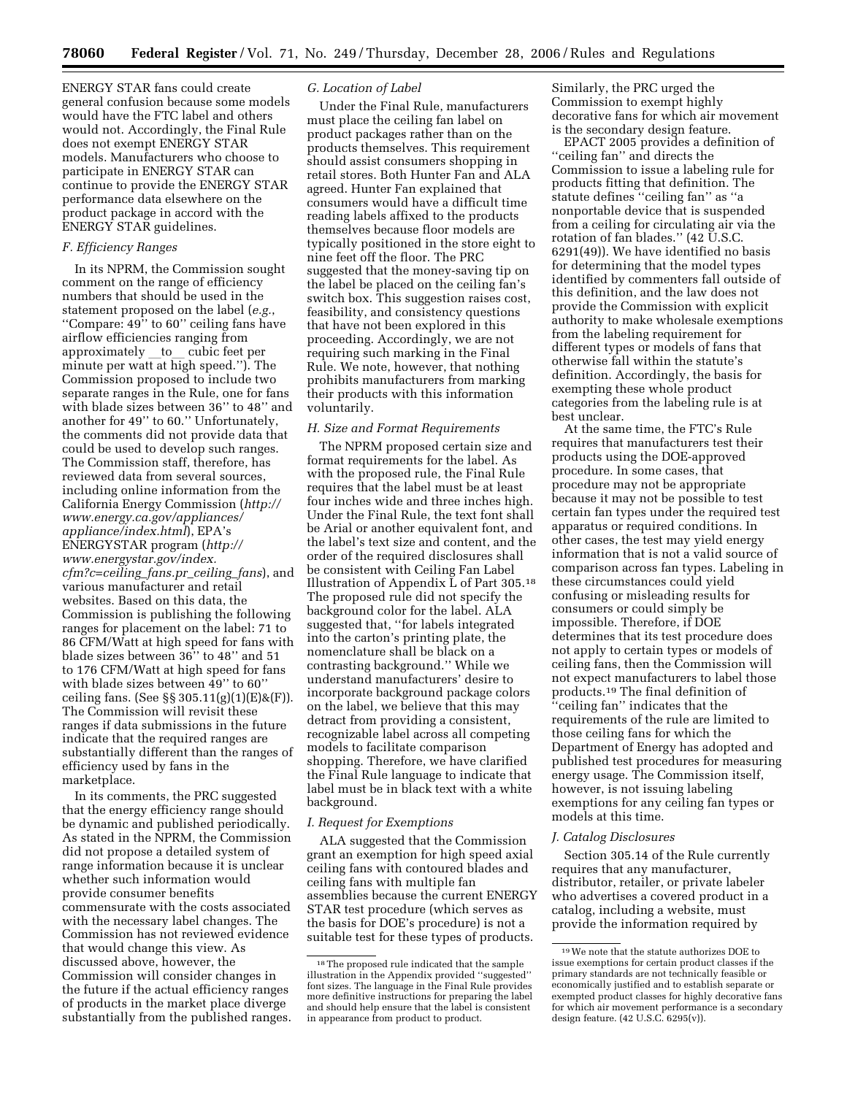ENERGY STAR fans could create general confusion because some models would have the FTC label and others would not. Accordingly, the Final Rule does not exempt ENERGY STAR models. Manufacturers who choose to participate in ENERGY STAR can continue to provide the ENERGY STAR performance data elsewhere on the product package in accord with the ENERGY STAR guidelines.

## *F. Efficiency Ranges*

In its NPRM, the Commission sought comment on the range of efficiency numbers that should be used in the statement proposed on the label (*e.g.*, ''Compare: 49'' to 60'' ceiling fans have airflow efficiencies ranging from approximately to cubic feet per minute per watt at high speed.''). The Commission proposed to include two separate ranges in the Rule, one for fans with blade sizes between 36'' to 48'' and another for 49'' to 60.'' Unfortunately, the comments did not provide data that could be used to develop such ranges. The Commission staff, therefore, has reviewed data from several sources, including online information from the California Energy Commission (*http:// www.energy.ca.gov/appliances/ appliance/index.html*), EPA's ENERGYSTAR program (*http:// www.energystar.gov/index. cfm?c=ceiling*\_*fans.pr*\_*ceiling*\_*fans*), and various manufacturer and retail websites. Based on this data, the Commission is publishing the following ranges for placement on the label: 71 to 86 CFM/Watt at high speed for fans with blade sizes between 36'' to 48'' and 51 to 176 CFM/Watt at high speed for fans with blade sizes between 49'' to 60'' ceiling fans. (See §§ 305.11(g)(1)(E)&(F)). The Commission will revisit these ranges if data submissions in the future indicate that the required ranges are substantially different than the ranges of efficiency used by fans in the marketplace.

In its comments, the PRC suggested that the energy efficiency range should be dynamic and published periodically. As stated in the NPRM, the Commission did not propose a detailed system of range information because it is unclear whether such information would provide consumer benefits commensurate with the costs associated with the necessary label changes. The Commission has not reviewed evidence that would change this view. As discussed above, however, the Commission will consider changes in the future if the actual efficiency ranges of products in the market place diverge substantially from the published ranges.

### *G. Location of Label*

Under the Final Rule, manufacturers must place the ceiling fan label on product packages rather than on the products themselves. This requirement should assist consumers shopping in retail stores. Both Hunter Fan and ALA agreed. Hunter Fan explained that consumers would have a difficult time reading labels affixed to the products themselves because floor models are typically positioned in the store eight to nine feet off the floor. The PRC suggested that the money-saving tip on the label be placed on the ceiling fan's switch box. This suggestion raises cost, feasibility, and consistency questions that have not been explored in this proceeding. Accordingly, we are not requiring such marking in the Final Rule. We note, however, that nothing prohibits manufacturers from marking their products with this information voluntarily.

### *H. Size and Format Requirements*

The NPRM proposed certain size and format requirements for the label. As with the proposed rule, the Final Rule requires that the label must be at least four inches wide and three inches high. Under the Final Rule, the text font shall be Arial or another equivalent font, and the label's text size and content, and the order of the required disclosures shall be consistent with Ceiling Fan Label Illustration of Appendix L of Part 305.18 The proposed rule did not specify the background color for the label. ALA suggested that, ''for labels integrated into the carton's printing plate, the nomenclature shall be black on a contrasting background.'' While we understand manufacturers' desire to incorporate background package colors on the label, we believe that this may detract from providing a consistent, recognizable label across all competing models to facilitate comparison shopping. Therefore, we have clarified the Final Rule language to indicate that label must be in black text with a white background.

### *I. Request for Exemptions*

ALA suggested that the Commission grant an exemption for high speed axial ceiling fans with contoured blades and ceiling fans with multiple fan assemblies because the current ENERGY STAR test procedure (which serves as the basis for DOE's procedure) is not a suitable test for these types of products.

Similarly, the PRC urged the Commission to exempt highly decorative fans for which air movement is the secondary design feature.

EPACT 2005 provides a definition of ''ceiling fan'' and directs the Commission to issue a labeling rule for products fitting that definition. The statute defines ''ceiling fan'' as ''a nonportable device that is suspended from a ceiling for circulating air via the rotation of fan blades." (42 U.S.C. 6291(49)). We have identified no basis for determining that the model types identified by commenters fall outside of this definition, and the law does not provide the Commission with explicit authority to make wholesale exemptions from the labeling requirement for different types or models of fans that otherwise fall within the statute's definition. Accordingly, the basis for exempting these whole product categories from the labeling rule is at best unclear.

At the same time, the FTC's Rule requires that manufacturers test their products using the DOE-approved procedure. In some cases, that procedure may not be appropriate because it may not be possible to test certain fan types under the required test apparatus or required conditions. In other cases, the test may yield energy information that is not a valid source of comparison across fan types. Labeling in these circumstances could yield confusing or misleading results for consumers or could simply be impossible. Therefore, if DOE determines that its test procedure does not apply to certain types or models of ceiling fans, then the Commission will not expect manufacturers to label those products.19 The final definition of ''ceiling fan'' indicates that the requirements of the rule are limited to those ceiling fans for which the Department of Energy has adopted and published test procedures for measuring energy usage. The Commission itself, however, is not issuing labeling exemptions for any ceiling fan types or models at this time.

## *J. Catalog Disclosures*

Section 305.14 of the Rule currently requires that any manufacturer, distributor, retailer, or private labeler who advertises a covered product in a catalog, including a website, must provide the information required by

<sup>18</sup>The proposed rule indicated that the sample illustration in the Appendix provided ''suggested'' font sizes. The language in the Final Rule provides more definitive instructions for preparing the label and should help ensure that the label is consistent in appearance from product to product.

<sup>19</sup>We note that the statute authorizes DOE to issue exemptions for certain product classes if the primary standards are not technically feasible or economically justified and to establish separate or exempted product classes for highly decorative fans for which air movement performance is a secondary design feature. (42 U.S.C. 6295(v)).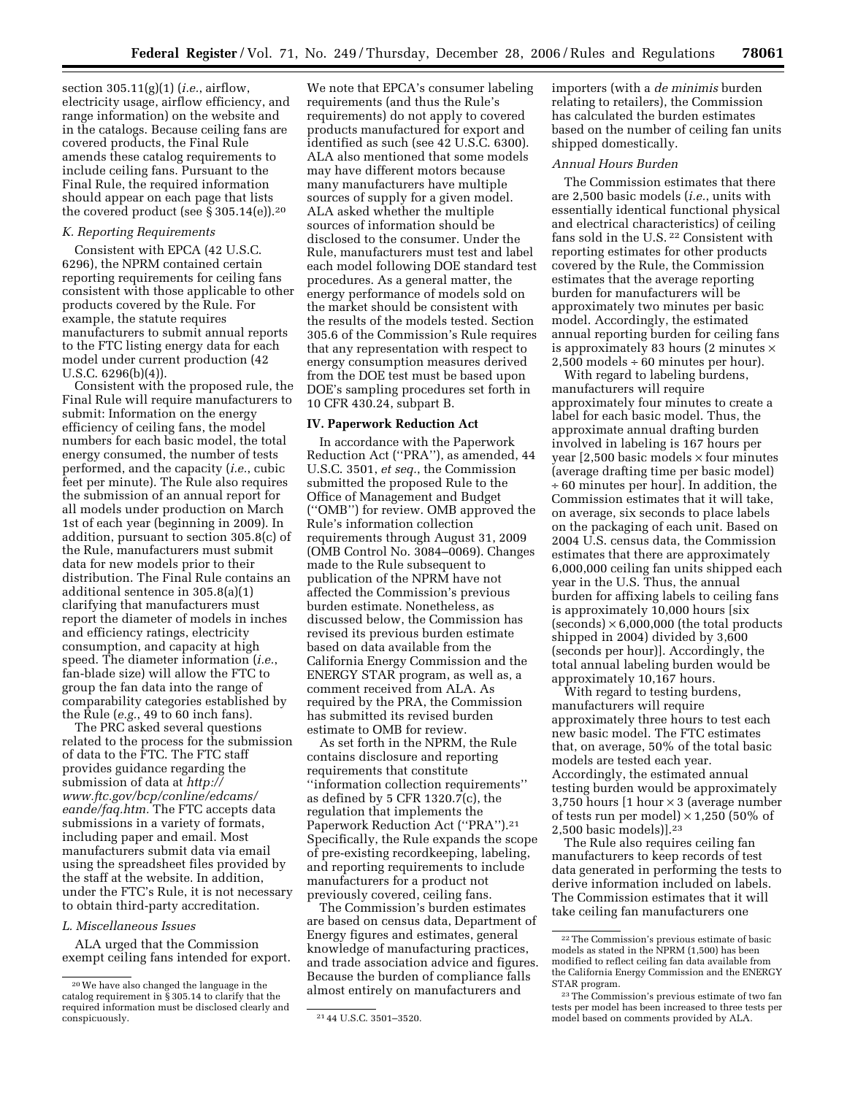section 305.11(g)(1) (*i.e.*, airflow, electricity usage, airflow efficiency, and range information) on the website and in the catalogs. Because ceiling fans are covered products, the Final Rule amends these catalog requirements to include ceiling fans. Pursuant to the Final Rule, the required information should appear on each page that lists the covered product (see  $\S 305.14(e)$ ).<sup>20</sup>

### *K. Reporting Requirements*

Consistent with EPCA (42 U.S.C. 6296), the NPRM contained certain reporting requirements for ceiling fans consistent with those applicable to other products covered by the Rule. For example, the statute requires manufacturers to submit annual reports to the FTC listing energy data for each model under current production (42 U.S.C. 6296(b)(4)).

Consistent with the proposed rule, the Final Rule will require manufacturers to submit: Information on the energy efficiency of ceiling fans, the model numbers for each basic model, the total energy consumed, the number of tests performed, and the capacity (*i.e.*, cubic feet per minute). The Rule also requires the submission of an annual report for all models under production on March 1st of each year (beginning in 2009). In addition, pursuant to section 305.8(c) of the Rule, manufacturers must submit data for new models prior to their distribution. The Final Rule contains an additional sentence in 305.8(a)(1) clarifying that manufacturers must report the diameter of models in inches and efficiency ratings, electricity consumption, and capacity at high speed. The diameter information (*i.e.*, fan-blade size) will allow the FTC to group the fan data into the range of comparability categories established by the Rule (*e.g.*, 49 to 60 inch fans).

The PRC asked several questions related to the process for the submission of data to the FTC. The FTC staff provides guidance regarding the submission of data at *http:// www.ftc.gov/bcp/conline/edcams/ eande/faq.htm.* The FTC accepts data submissions in a variety of formats, including paper and email. Most manufacturers submit data via email using the spreadsheet files provided by the staff at the website. In addition, under the FTC's Rule, it is not necessary to obtain third-party accreditation.

### *L. Miscellaneous Issues*

ALA urged that the Commission exempt ceiling fans intended for export.

We note that EPCA's consumer labeling requirements (and thus the Rule's requirements) do not apply to covered products manufactured for export and identified as such (see 42 U.S.C. 6300). ALA also mentioned that some models may have different motors because many manufacturers have multiple sources of supply for a given model. ALA asked whether the multiple sources of information should be disclosed to the consumer. Under the Rule, manufacturers must test and label each model following DOE standard test procedures. As a general matter, the energy performance of models sold on the market should be consistent with the results of the models tested. Section 305.6 of the Commission's Rule requires that any representation with respect to energy consumption measures derived from the DOE test must be based upon DOE's sampling procedures set forth in 10 CFR 430.24, subpart B.

### **IV. Paperwork Reduction Act**

In accordance with the Paperwork Reduction Act (''PRA''), as amended, 44 U.S.C. 3501, *et seq.*, the Commission submitted the proposed Rule to the Office of Management and Budget (''OMB'') for review. OMB approved the Rule's information collection requirements through August 31, 2009 (OMB Control No. 3084–0069). Changes made to the Rule subsequent to publication of the NPRM have not affected the Commission's previous burden estimate. Nonetheless, as discussed below, the Commission has revised its previous burden estimate based on data available from the California Energy Commission and the ENERGY STAR program, as well as, a comment received from ALA. As required by the PRA, the Commission has submitted its revised burden estimate to OMB for review.

As set forth in the NPRM, the Rule contains disclosure and reporting requirements that constitute ''information collection requirements'' as defined by 5 CFR 1320.7(c), the regulation that implements the Paperwork Reduction Act (''PRA'').21 Specifically, the Rule expands the scope of pre-existing recordkeeping, labeling, and reporting requirements to include manufacturers for a product not previously covered, ceiling fans.

The Commission's burden estimates are based on census data, Department of Energy figures and estimates, general knowledge of manufacturing practices, and trade association advice and figures. Because the burden of compliance falls almost entirely on manufacturers and

importers (with a *de minimis* burden relating to retailers), the Commission has calculated the burden estimates based on the number of ceiling fan units shipped domestically.

### *Annual Hours Burden*

The Commission estimates that there are 2,500 basic models (*i.e.*, units with essentially identical functional physical and electrical characteristics) of ceiling fans sold in the U.S. 22 Consistent with reporting estimates for other products covered by the Rule, the Commission estimates that the average reporting burden for manufacturers will be approximately two minutes per basic model. Accordingly, the estimated annual reporting burden for ceiling fans is approximately 83 hours (2 minutes  $\times$  $2,500$  models  $\div 60$  minutes per hour).

With regard to labeling burdens, manufacturers will require approximately four minutes to create a label for each basic model. Thus, the approximate annual drafting burden involved in labeling is 167 hours per year  $[2,500$  basic models  $\times$  four minutes (average drafting time per basic model) ÷ 60 minutes per hour]. In addition, the Commission estimates that it will take, on average, six seconds to place labels on the packaging of each unit. Based on 2004 U.S. census data, the Commission estimates that there are approximately 6,000,000 ceiling fan units shipped each year in the U.S. Thus, the annual burden for affixing labels to ceiling fans is approximately 10,000 hours [six  $(seconds) \times 6,000,000$  (the total products shipped in 2004) divided by 3,600 (seconds per hour)]. Accordingly, the total annual labeling burden would be approximately 10,167 hours.

With regard to testing burdens, manufacturers will require approximately three hours to test each new basic model. The FTC estimates that, on average, 50% of the total basic models are tested each year. Accordingly, the estimated annual testing burden would be approximately 3,750 hours  $[1 hour \times 3$  (average number of tests run per model)  $\times$  1,250 (50% of 2,500 basic models)].23

The Rule also requires ceiling fan manufacturers to keep records of test data generated in performing the tests to derive information included on labels. The Commission estimates that it will take ceiling fan manufacturers one

<sup>20</sup>We have also changed the language in the catalog requirement in § 305.14 to clarify that the required information must be disclosed clearly and

<sup>21 44</sup> U.S.C. 3501-3520.

<sup>22</sup>The Commission's previous estimate of basic models as stated in the NPRM (1,500) has been modified to reflect ceiling fan data available from the California Energy Commission and the ENERGY STAR program.

<sup>23</sup>The Commission's previous estimate of two fan tests per model has been increased to three tests per model based on comments provided by ALA.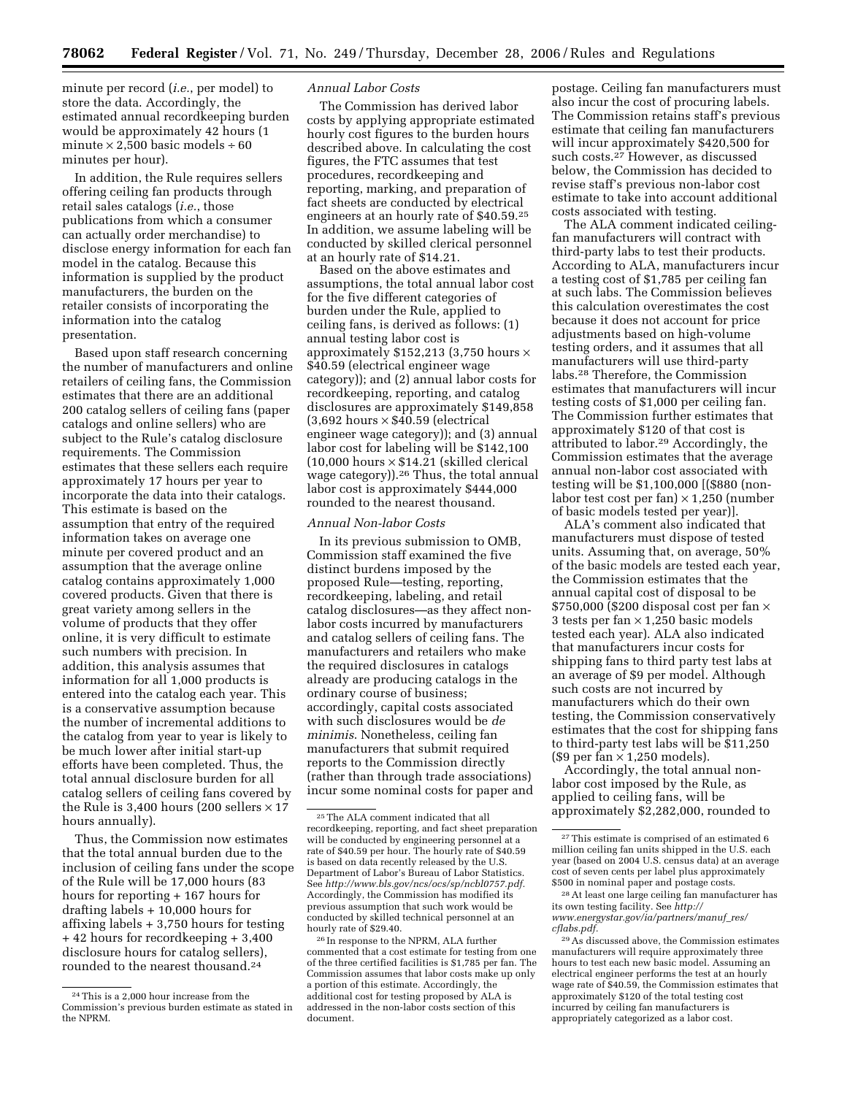minute per record (*i.e.*, per model) to store the data. Accordingly, the estimated annual recordkeeping burden would be approximately 42 hours (1 minute  $\times$  2,500 basic models ÷ 60 minutes per hour).

In addition, the Rule requires sellers offering ceiling fan products through retail sales catalogs (*i.e.*, those publications from which a consumer can actually order merchandise) to disclose energy information for each fan model in the catalog. Because this information is supplied by the product manufacturers, the burden on the retailer consists of incorporating the information into the catalog presentation.

Based upon staff research concerning the number of manufacturers and online retailers of ceiling fans, the Commission estimates that there are an additional 200 catalog sellers of ceiling fans (paper catalogs and online sellers) who are subject to the Rule's catalog disclosure requirements. The Commission estimates that these sellers each require approximately 17 hours per year to incorporate the data into their catalogs. This estimate is based on the assumption that entry of the required information takes on average one minute per covered product and an assumption that the average online catalog contains approximately 1,000 covered products. Given that there is great variety among sellers in the volume of products that they offer online, it is very difficult to estimate such numbers with precision. In addition, this analysis assumes that information for all 1,000 products is entered into the catalog each year. This is a conservative assumption because the number of incremental additions to the catalog from year to year is likely to be much lower after initial start-up efforts have been completed. Thus, the total annual disclosure burden for all catalog sellers of ceiling fans covered by the Rule is 3,400 hours (200 sellers  $\times$  17 hours annually).

Thus, the Commission now estimates that the total annual burden due to the inclusion of ceiling fans under the scope of the Rule will be 17,000 hours (83 hours for reporting + 167 hours for drafting labels + 10,000 hours for affixing labels + 3,750 hours for testing + 42 hours for recordkeeping + 3,400 disclosure hours for catalog sellers), rounded to the nearest thousand.24

## *Annual Labor Costs*

The Commission has derived labor costs by applying appropriate estimated hourly cost figures to the burden hours described above. In calculating the cost figures, the FTC assumes that test procedures, recordkeeping and reporting, marking, and preparation of fact sheets are conducted by electrical engineers at an hourly rate of \$40.59.25 In addition, we assume labeling will be conducted by skilled clerical personnel at an hourly rate of \$14.21.

Based on the above estimates and assumptions, the total annual labor cost for the five different categories of burden under the Rule, applied to ceiling fans, is derived as follows: (1) annual testing labor cost is approximately \$152,213 (3,750 hours × \$40.59 (electrical engineer wage category)); and (2) annual labor costs for recordkeeping, reporting, and catalog disclosures are approximately \$149,858  $(3,692$  hours  $\times$  \$40.59 (electrical engineer wage category)); and (3) annual labor cost for labeling will be \$142,100  $(10,000$  hours  $\times$  \$14.21 (skilled clerical wage category)).26 Thus, the total annual labor cost is approximately \$444,000 rounded to the nearest thousand.

### *Annual Non-labor Costs*

In its previous submission to OMB, Commission staff examined the five distinct burdens imposed by the proposed Rule—testing, reporting, recordkeeping, labeling, and retail catalog disclosures—as they affect nonlabor costs incurred by manufacturers and catalog sellers of ceiling fans. The manufacturers and retailers who make the required disclosures in catalogs already are producing catalogs in the ordinary course of business; accordingly, capital costs associated with such disclosures would be *de minimis*. Nonetheless, ceiling fan manufacturers that submit required reports to the Commission directly (rather than through trade associations) incur some nominal costs for paper and

postage. Ceiling fan manufacturers must also incur the cost of procuring labels. The Commission retains staff's previous estimate that ceiling fan manufacturers will incur approximately \$420,500 for such costs.27 However, as discussed below, the Commission has decided to revise staff's previous non-labor cost estimate to take into account additional costs associated with testing.

The ALA comment indicated ceilingfan manufacturers will contract with third-party labs to test their products. According to ALA, manufacturers incur a testing cost of \$1,785 per ceiling fan at such labs. The Commission believes this calculation overestimates the cost because it does not account for price adjustments based on high-volume testing orders, and it assumes that all manufacturers will use third-party labs.28 Therefore, the Commission estimates that manufacturers will incur testing costs of \$1,000 per ceiling fan. The Commission further estimates that approximately \$120 of that cost is attributed to labor.29 Accordingly, the Commission estimates that the average annual non-labor cost associated with testing will be \$1,100,000 [(\$880 (nonlabor test cost per fan)  $\times$  1,250 (number of basic models tested per year)].

ALA's comment also indicated that manufacturers must dispose of tested units. Assuming that, on average, 50% of the basic models are tested each year, the Commission estimates that the annual capital cost of disposal to be  $$750,000$  (\$200 disposal cost per fan  $\times$ 3 tests per fan  $\times$  1,250 basic models tested each year). ALA also indicated that manufacturers incur costs for shipping fans to third party test labs at an average of \$9 per model. Although such costs are not incurred by manufacturers which do their own testing, the Commission conservatively estimates that the cost for shipping fans to third-party test labs will be \$11,250  $$9$  per fan  $\times$  1,250 models).

Accordingly, the total annual nonlabor cost imposed by the Rule, as applied to ceiling fans, will be approximately \$2,282,000, rounded to

<sup>24</sup>This is a 2,000 hour increase from the Commission's previous burden estimate as stated in the NPRM.

<sup>25</sup>The ALA comment indicated that all recordkeeping, reporting, and fact sheet preparation will be conducted by engineering personnel at a rate of \$40.59 per hour. The hourly rate of \$40.59 is based on data recently released by the U.S. Department of Labor's Bureau of Labor Statistics. See *http://www.bls.gov/ncs/ocs/sp/ncbl0757.pdf.*  Accordingly, the Commission has modified its previous assumption that such work would be conducted by skilled technical personnel at an hourly rate of \$29.40.

<sup>26</sup> In response to the NPRM, ALA further commented that a cost estimate for testing from one of the three certified facilities is \$1,785 per fan. The Commission assumes that labor costs make up only a portion of this estimate. Accordingly, the additional cost for testing proposed by ALA is addressed in the non-labor costs section of this document.

<sup>27</sup>This estimate is comprised of an estimated 6 million ceiling fan units shipped in the U.S. each year (based on 2004 U.S. census data) at an average cost of seven cents per label plus approximately \$500 in nominal paper and postage costs.

<sup>28</sup>At least one large ceiling fan manufacturer has its own testing facility. See *http:// www.energystar.gov/ia/partners/manuf*\_*res/ cflabs.pdf.* 

<sup>29</sup>As discussed above, the Commission estimates manufacturers will require approximately three hours to test each new basic model. Assuming an electrical engineer performs the test at an hourly wage rate of \$40.59, the Commission estimates that approximately \$120 of the total testing cost incurred by ceiling fan manufacturers is appropriately categorized as a labor cost.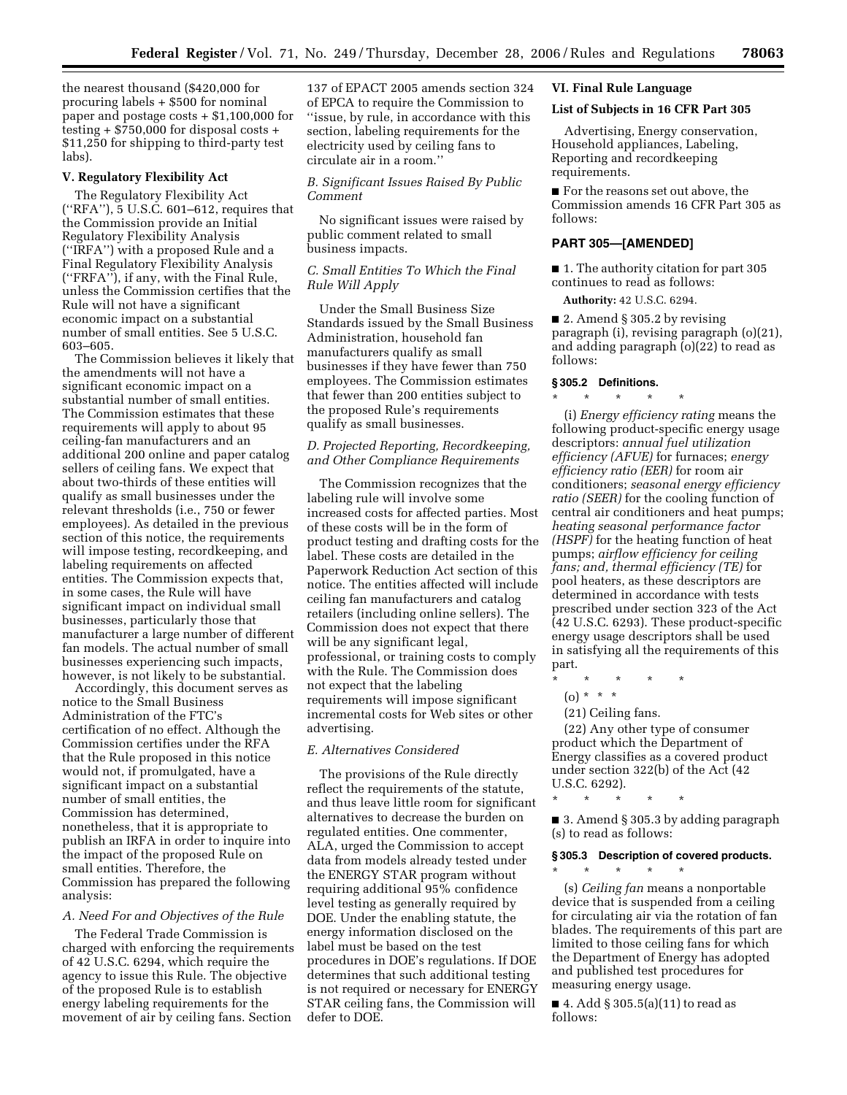the nearest thousand (\$420,000 for procuring labels + \$500 for nominal paper and postage costs + \$1,100,000 for testing + \$750,000 for disposal costs + \$11,250 for shipping to third-party test labs).

### **V. Regulatory Flexibility Act**

The Regulatory Flexibility Act (''RFA''), 5 U.S.C. 601–612, requires that the Commission provide an Initial Regulatory Flexibility Analysis (''IRFA'') with a proposed Rule and a Final Regulatory Flexibility Analysis (''FRFA''), if any, with the Final Rule, unless the Commission certifies that the Rule will not have a significant economic impact on a substantial number of small entities. See 5 U.S.C. 603–605.

The Commission believes it likely that the amendments will not have a significant economic impact on a substantial number of small entities. The Commission estimates that these requirements will apply to about 95 ceiling-fan manufacturers and an additional 200 online and paper catalog sellers of ceiling fans. We expect that about two-thirds of these entities will qualify as small businesses under the relevant thresholds (i.e., 750 or fewer employees). As detailed in the previous section of this notice, the requirements will impose testing, recordkeeping, and labeling requirements on affected entities. The Commission expects that, in some cases, the Rule will have significant impact on individual small businesses, particularly those that manufacturer a large number of different fan models. The actual number of small businesses experiencing such impacts, however, is not likely to be substantial.

Accordingly, this document serves as notice to the Small Business Administration of the FTC's certification of no effect. Although the Commission certifies under the RFA that the Rule proposed in this notice would not, if promulgated, have a significant impact on a substantial number of small entities, the Commission has determined, nonetheless, that it is appropriate to publish an IRFA in order to inquire into the impact of the proposed Rule on small entities. Therefore, the Commission has prepared the following analysis:

### *A. Need For and Objectives of the Rule*

The Federal Trade Commission is charged with enforcing the requirements of 42 U.S.C. 6294, which require the agency to issue this Rule. The objective of the proposed Rule is to establish energy labeling requirements for the movement of air by ceiling fans. Section

137 of EPACT 2005 amends section 324 of EPCA to require the Commission to ''issue, by rule, in accordance with this section, labeling requirements for the electricity used by ceiling fans to circulate air in a room.''

*B. Significant Issues Raised By Public Comment* 

No significant issues were raised by public comment related to small business impacts.

# *C. Small Entities To Which the Final Rule Will Apply*

Under the Small Business Size Standards issued by the Small Business Administration, household fan manufacturers qualify as small businesses if they have fewer than 750 employees. The Commission estimates that fewer than 200 entities subject to the proposed Rule's requirements qualify as small businesses.

# *D. Projected Reporting, Recordkeeping, and Other Compliance Requirements*

The Commission recognizes that the labeling rule will involve some increased costs for affected parties. Most of these costs will be in the form of product testing and drafting costs for the label. These costs are detailed in the Paperwork Reduction Act section of this notice. The entities affected will include ceiling fan manufacturers and catalog retailers (including online sellers). The Commission does not expect that there will be any significant legal, professional, or training costs to comply with the Rule. The Commission does not expect that the labeling requirements will impose significant incremental costs for Web sites or other advertising.

## *E. Alternatives Considered*

The provisions of the Rule directly reflect the requirements of the statute, and thus leave little room for significant alternatives to decrease the burden on regulated entities. One commenter, ALA, urged the Commission to accept data from models already tested under the ENERGY STAR program without requiring additional 95% confidence level testing as generally required by DOE. Under the enabling statute, the energy information disclosed on the label must be based on the test procedures in DOE's regulations. If DOE determines that such additional testing is not required or necessary for ENERGY STAR ceiling fans, the Commission will defer to DOE.

# **VI. Final Rule Language**

### **List of Subjects in 16 CFR Part 305**

Advertising, Energy conservation, Household appliances, Labeling, Reporting and recordkeeping requirements.

■ For the reasons set out above, the Commission amends 16 CFR Part 305 as follows:

# **PART 305—[AMENDED]**

■ 1. The authority citation for part 305 continues to read as follows:

**Authority:** 42 U.S.C. 6294.

■ 2. Amend § 305.2 by revising paragraph (i), revising paragraph (o)(21), and adding paragraph (o)(22) to read as follows:

### **§ 305.2 Definitions.**

\* \* \* \* \* (i) *Energy efficiency rating* means the following product-specific energy usage descriptors: *annual fuel utilization efficiency (AFUE)* for furnaces; *energy efficiency ratio (EER)* for room air conditioners; *seasonal energy efficiency ratio (SEER)* for the cooling function of central air conditioners and heat pumps; *heating seasonal performance factor (HSPF)* for the heating function of heat pumps; *airflow efficiency for ceiling fans; and, thermal efficiency (TE)* for pool heaters, as these descriptors are determined in accordance with tests prescribed under section 323 of the Act (42 U.S.C. 6293). These product-specific energy usage descriptors shall be used in satisfying all the requirements of this part.

- \* \* \* \* \*
- (o) \* \* \*
- (21) Ceiling fans.

(22) Any other type of consumer product which the Department of Energy classifies as a covered product under section 322(b) of the Act (42 U.S.C. 6292).

\* \* \* \* \*

■ 3. Amend § 305.3 by adding paragraph (s) to read as follows:

### **§ 305.3 Description of covered products.**

\* \* \* \* \*

(s) *Ceiling fan* means a nonportable device that is suspended from a ceiling for circulating air via the rotation of fan blades. The requirements of this part are limited to those ceiling fans for which the Department of Energy has adopted and published test procedures for measuring energy usage.

■ 4. Add § 305.5(a)(11) to read as follows: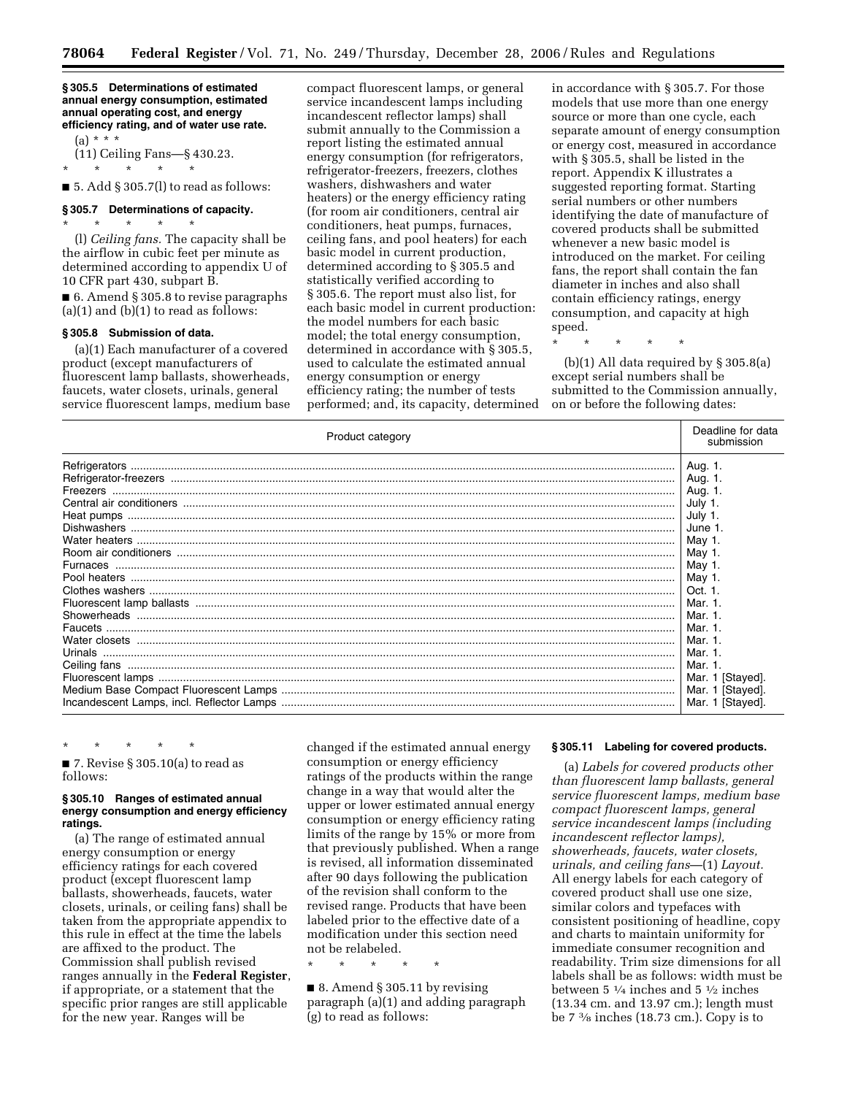### **§ 305.5 Determinations of estimated annual energy consumption, estimated annual operating cost, and energy efficiency rating, and of water use rate.**

 $(a) * * * *$ 

(11) Ceiling Fans—§ 430.23.

 $\star$   $\qquad$   $\star$   $\qquad$   $\star$   $\qquad$   $\star$ 

 $\blacksquare$  5. Add § 305.7(1) to read as follows:

# **§ 305.7 Determinations of capacity.**

\* \* \* \* \* (l) *Ceiling fans.* The capacity shall be the airflow in cubic feet per minute as determined according to appendix U of 10 CFR part 430, subpart B.

■ 6. Amend § 305.8 to revise paragraphs  $(a)(1)$  and  $(b)(1)$  to read as follows:

## **§ 305.8 Submission of data.**

(a)(1) Each manufacturer of a covered product (except manufacturers of fluorescent lamp ballasts, showerheads, faucets, water closets, urinals, general service fluorescent lamps, medium base compact fluorescent lamps, or general service incandescent lamps including incandescent reflector lamps) shall submit annually to the Commission a report listing the estimated annual energy consumption (for refrigerators, refrigerator-freezers, freezers, clothes washers, dishwashers and water heaters) or the energy efficiency rating (for room air conditioners, central air conditioners, heat pumps, furnaces, ceiling fans, and pool heaters) for each basic model in current production, determined according to § 305.5 and statistically verified according to § 305.6. The report must also list, for each basic model in current production: the model numbers for each basic model; the total energy consumption, determined in accordance with § 305.5, used to calculate the estimated annual energy consumption or energy efficiency rating; the number of tests performed; and, its capacity, determined in accordance with § 305.7. For those models that use more than one energy source or more than one cycle, each separate amount of energy consumption or energy cost, measured in accordance with § 305.5, shall be listed in the report. Appendix K illustrates a suggested reporting format. Starting serial numbers or other numbers identifying the date of manufacture of covered products shall be submitted whenever a new basic model is introduced on the market. For ceiling fans, the report shall contain the fan diameter in inches and also shall contain efficiency ratings, energy consumption, and capacity at high speed.

\* \* \* \* \*

(b)(1) All data required by § 305.8(a) except serial numbers shall be submitted to the Commission annually, on or before the following dates:

| Product category | Deadline for data<br>submission |
|------------------|---------------------------------|
|                  | Aug. 1.                         |
|                  | Aug. 1.                         |
|                  | Aug. 1.                         |
|                  | July 1                          |
|                  | July 1.                         |
|                  | June 1.                         |
|                  | May 1.                          |
|                  | May 1.                          |
|                  | May 1.                          |
|                  | May 1.                          |
|                  | Oct. 1                          |
|                  | Mar. 1.                         |
|                  | Mar. 1                          |
|                  | Mar. 1.                         |
|                  | Mar. 1                          |
|                  | Mar. 1                          |
|                  | Mar. 1.                         |
|                  | Mar. 1 [Stayed].                |
|                  | Mar. 1 [Stayed].                |
|                  | Mar. 1 [Stayed].                |

\* \* \* \* \*  $\blacksquare$  7. Revise § 305.10(a) to read as follows:

### **§ 305.10 Ranges of estimated annual energy consumption and energy efficiency ratings.**

(a) The range of estimated annual energy consumption or energy efficiency ratings for each covered product (except fluorescent lamp ballasts, showerheads, faucets, water closets, urinals, or ceiling fans) shall be taken from the appropriate appendix to this rule in effect at the time the labels are affixed to the product. The Commission shall publish revised ranges annually in the **Federal Register**, if appropriate, or a statement that the specific prior ranges are still applicable for the new year. Ranges will be

changed if the estimated annual energy consumption or energy efficiency ratings of the products within the range change in a way that would alter the upper or lower estimated annual energy consumption or energy efficiency rating limits of the range by 15% or more from that previously published. When a range is revised, all information disseminated after 90 days following the publication of the revision shall conform to the revised range. Products that have been labeled prior to the effective date of a modification under this section need not be relabeled.

\* \* \* \* \*

■ 8. Amend § 305.11 by revising paragraph (a)(1) and adding paragraph (g) to read as follows:

### **§ 305.11 Labeling for covered products.**

(a) *Labels for covered products other than fluorescent lamp ballasts, general service fluorescent lamps, medium base compact fluorescent lamps, general service incandescent lamps (including incandescent reflector lamps), showerheads, faucets, water closets, urinals, and ceiling fans*—(1) *Layout.*  All energy labels for each category of covered product shall use one size, similar colors and typefaces with consistent positioning of headline, copy and charts to maintain uniformity for immediate consumer recognition and readability. Trim size dimensions for all labels shall be as follows: width must be between 5 1⁄4 inches and 5 1⁄2 inches (13.34 cm. and 13.97 cm.); length must be 7 3⁄8 inches (18.73 cm.). Copy is to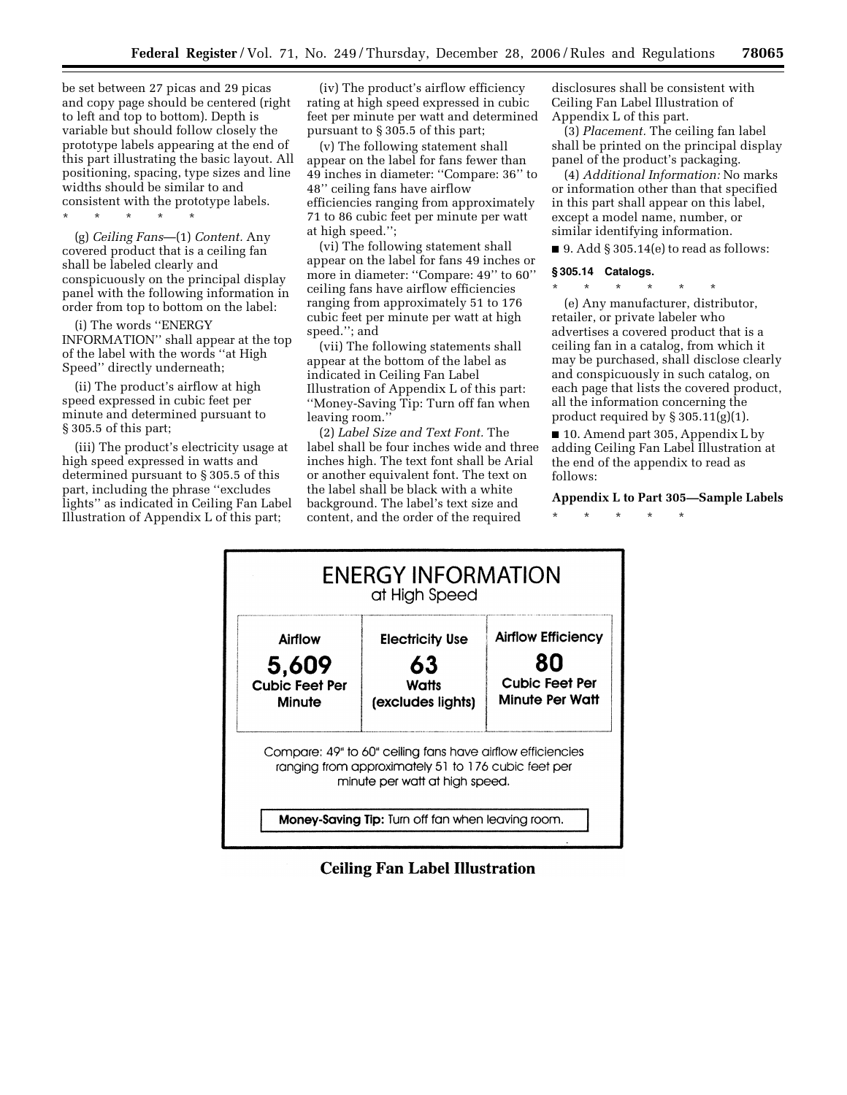be set between 27 picas and 29 picas and copy page should be centered (right to left and top to bottom). Depth is variable but should follow closely the prototype labels appearing at the end of this part illustrating the basic layout. All positioning, spacing, type sizes and line widths should be similar to and consistent with the prototype labels.

\* \* \* \* \*

(g) *Ceiling Fans*—(1) *Content.* Any covered product that is a ceiling fan shall be labeled clearly and conspicuously on the principal display panel with the following information in order from top to bottom on the label:

(i) The words ''ENERGY INFORMATION'' shall appear at the top of the label with the words ''at High Speed'' directly underneath;

(ii) The product's airflow at high speed expressed in cubic feet per minute and determined pursuant to § 305.5 of this part;

(iii) The product's electricity usage at high speed expressed in watts and determined pursuant to § 305.5 of this part, including the phrase ''excludes lights'' as indicated in Ceiling Fan Label Illustration of Appendix L of this part;

(iv) The product's airflow efficiency rating at high speed expressed in cubic feet per minute per watt and determined pursuant to § 305.5 of this part;

(v) The following statement shall appear on the label for fans fewer than 49 inches in diameter: ''Compare: 36'' to 48'' ceiling fans have airflow efficiencies ranging from approximately 71 to 86 cubic feet per minute per watt at high speed.'';

(vi) The following statement shall appear on the label for fans 49 inches or more in diameter: "Compare: 49" to 60" ceiling fans have airflow efficiencies ranging from approximately 51 to 176 cubic feet per minute per watt at high speed.''; and

(vii) The following statements shall appear at the bottom of the label as indicated in Ceiling Fan Label Illustration of Appendix L of this part: ''Money-Saving Tip: Turn off fan when leaving room.''

(2) *Label Size and Text Font.* The label shall be four inches wide and three inches high. The text font shall be Arial or another equivalent font. The text on the label shall be black with a white background. The label's text size and content, and the order of the required

disclosures shall be consistent with Ceiling Fan Label Illustration of Appendix L of this part.

(3) *Placement.* The ceiling fan label shall be printed on the principal display panel of the product's packaging.

(4) *Additional Information:* No marks or information other than that specified in this part shall appear on this label, except a model name, number, or similar identifying information.

 $\blacksquare$  9. Add § 305.14(e) to read as follows:

### **§ 305.14 Catalogs.**

\* \* \* \* \* \* (e) Any manufacturer, distributor, retailer, or private labeler who advertises a covered product that is a ceiling fan in a catalog, from which it may be purchased, shall disclose clearly and conspicuously in such catalog, on each page that lists the covered product, all the information concerning the product required by § 305.11(g)(1).

■ 10. Amend part 305, Appendix L by adding Ceiling Fan Label Illustration at the end of the appendix to read as follows:

# **Appendix L to Part 305—Sample Labels**

\* \* \* \* \*



**Ceiling Fan Label Illustration**